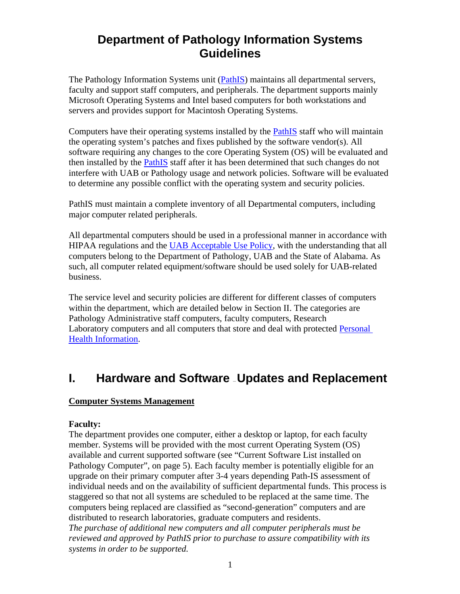## **Department of Pathology Information Systems Guidelines**

The Pathology Information Systems unit (PathIS) maintains all departmental servers, faculty and support staff computers, and peripherals. The department supports mainly Microsoft Operating Systems and Intel based computers for both workstations and servers and provides support for Macintosh Operating Systems.

Computers have their operating systems installed by the PathIS staff who will maintain the operating system's patches and fixes published by the software vendor(s). All software requiring any changes to the core Operating System (OS) will be evaluated and then installed by the PathIS staff after it has been determined that such changes do not interfere with UAB or Pathology usage and network policies. Software will be evaluated to determine any possible conflict with the operating system and security policies.

PathIS must maintain a complete inventory of all Departmental computers, including major computer related peripherals.

All departmental computers should be used in a professional manner in accordance with HIPAA regulations and the UAB Acceptable Use Policy, with the understanding that all computers belong to the Department of Pathology, UAB and the State of Alabama. As such, all computer related equipment/software should be used solely for UAB-related business.

The service level and security policies are different for different classes of computers within the department, which are detailed below in Section II. The categories are Pathology Administrative staff computers, faculty computers, Research Laboratory computers and all computers that store and deal with protected Personal Health Information.

## **I.** Hardware and Software **Departual Auproprise Hart**

#### **Computer Systems Management**

#### **Faculty:**

The department provides one computer, either a desktop or laptop, for each faculty member. Systems will be provided with the most current Operating System (OS) available and current supported software (see "Current Software List installed on Pathology Computer", on page 5). Each faculty member is potentially eligible for an upgrade on their primary computer after 3-4 years depending Path-IS assessment of individual needs and on the availability of sufficient departmental funds. This process is staggered so that not all systems are scheduled to be replaced at the same time. The computers being replaced are classified as "second-generation" computers and are distributed to research laboratories, graduate computers and residents. *The purchase of additional new computers and all computer peripherals must be reviewed and approved by PathIS prior to purchase to assure compatibility with its systems in order to be supported.*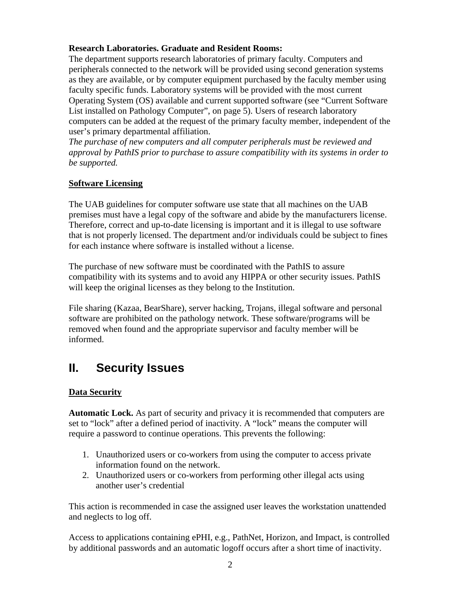#### **Research Laboratories. Graduate and Resident Rooms:**

The department supports research laboratories of primary faculty. Computers and peripherals connected to the network will be provided using second generation systems as they are available, or by computer equipment purchased by the faculty member using faculty specific funds. Laboratory systems will be provided with the most current Operating System (OS) available and current supported software (see "Current Software List installed on Pathology Computer", on page 5). Users of research laboratory computers can be added at the request of the primary faculty member, independent of the user's primary departmental affiliation.

*The purchase of new computers and all computer peripherals must be reviewed and approval by PathIS prior to purchase to assure compatibility with its systems in order to be supported.* 

### **Software Licensing**

The UAB guidelines for computer software use state that all machines on the UAB premises must have a legal copy of the software and abide by the manufacturers license. Therefore, correct and up-to-date licensing is important and it is illegal to use software that is not properly licensed. The department and/or individuals could be subject to fines for each instance where software is installed without a license.

The purchase of new software must be coordinated with the PathIS to assure compatibility with its systems and to avoid any HIPPA or other security issues. PathIS will keep the original licenses as they belong to the Institution.

File sharing (Kazaa, BearShare), server hacking, Trojans, illegal software and personal software are prohibited on the pathology network. These software/programs will be removed when found and the appropriate supervisor and faculty member will be informed.

# **II. Security Issues**

### **Data Security**

**Automatic Lock.** As part of security and privacy it is recommended that computers are set to "lock" after a defined period of inactivity. A "lock" means the computer will require a password to continue operations. This prevents the following:

- 1. Unauthorized users or co-workers from using the computer to access private information found on the network.
- 2. Unauthorized users or co-workers from performing other illegal acts using another user's credential

This action is recommended in case the assigned user leaves the workstation unattended and neglects to log off.

Access to applications containing ePHI, e.g., PathNet, Horizon, and Impact, is controlled by additional passwords and an automatic logoff occurs after a short time of inactivity.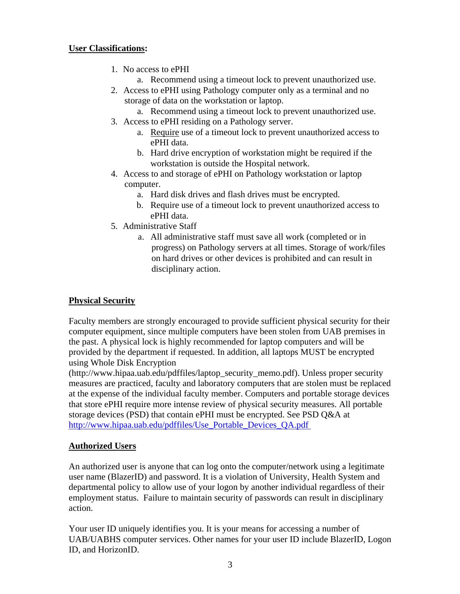#### **User Classifications:**

- 1. No access to ePHI
	- a. Recommend using a timeout lock to prevent unauthorized use.
- 2. Access to ePHI using Pathology computer only as a terminal and no storage of data on the workstation or laptop.
	- a. Recommend using a timeout lock to prevent unauthorized use.
- 3. Access to ePHI residing on a Pathology server.
	- a. Require use of a timeout lock to prevent unauthorized access to ePHI data.
	- b. Hard drive encryption of workstation might be required if the workstation is outside the Hospital network.
- 4. Access to and storage of ePHI on Pathology workstation or laptop computer.
	- a. Hard disk drives and flash drives must be encrypted.
	- b. Require use of a timeout lock to prevent unauthorized access to ePHI data.
- 5. Administrative Staff
	- a. All administrative staff must save all work (completed or in progress) on Pathology servers at all times. Storage of work/files on hard drives or other devices is prohibited and can result in disciplinary action.

### **Physical Security**

Faculty members are strongly encouraged to provide sufficient physical security for their computer equipment, since multiple computers have been stolen from UAB premises in the past. A physical lock is highly recommended for laptop computers and will be provided by the department if requested. In addition, all laptops MUST be encrypted using Whole Disk Encryption

(http://www.hipaa.uab.edu/pdffiles/laptop\_security\_memo.pdf). Unless proper security measures are practiced, faculty and laboratory computers that are stolen must be replaced at the expense of the individual faculty member. Computers and portable storage devices that store ePHI require more intense review of physical security measures. All portable storage devices (PSD) that contain ePHI must be encrypted. See PSD Q&A at http://www.hipaa.uab.edu/pdffiles/Use\_Portable\_Devices\_QA.pdf

### **Authorized Users**

An authorized user is anyone that can log onto the computer/network using a legitimate user name (BlazerID) and password. It is a violation of University, Health System and departmental policy to allow use of your logon by another individual regardless of their employment status. Failure to maintain security of passwords can result in disciplinary action.

Your user ID uniquely identifies you. It is your means for accessing a number of UAB/UABHS computer services. Other names for your user ID include BlazerID, Logon ID, and HorizonID.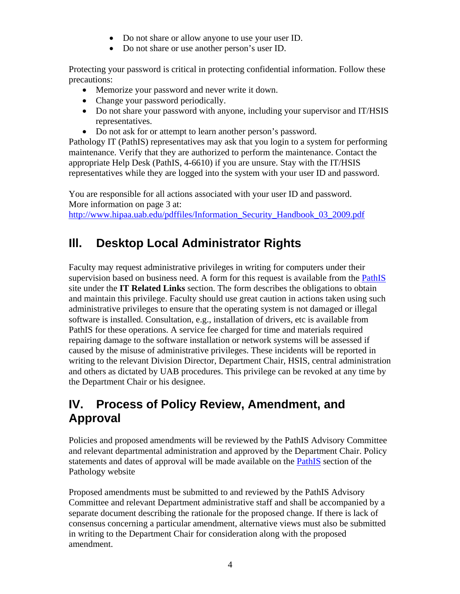- Do not share or allow anyone to use your user ID.
- Do not share or use another person's user ID.

Protecting your password is critical in protecting confidential information. Follow these precautions:

- Memorize your password and never write it down.
- Change your password periodically.
- Do not share your password with anyone, including your supervisor and IT/HSIS representatives.
- Do not ask for or attempt to learn another person's password.

Pathology IT (PathIS) representatives may ask that you login to a system for performing maintenance. Verify that they are authorized to perform the maintenance. Contact the appropriate Help Desk (PathIS, 4-6610) if you are unsure. Stay with the IT/HSIS representatives while they are logged into the system with your user ID and password.

You are responsible for all actions associated with your user ID and password. More information on page 3 at:

http://www.hipaa.uab.edu/pdffiles/Information\_Security\_Handbook\_03\_2009.pdf

# **Ill. Desktop Local Administrator Rights**

Faculty may request administrative privileges in writing for computers under their supervision based on business need. A form for this request is available from the PathIS site under the **IT Related Links** section. The form describes the obligations to obtain and maintain this privilege. Faculty should use great caution in actions taken using such administrative privileges to ensure that the operating system is not damaged or illegal software is installed. Consultation, e.g., installation of drivers, etc is available from PathIS for these operations. A service fee charged for time and materials required repairing damage to the software installation or network systems will be assessed if caused by the misuse of administrative privileges. These incidents will be reported in writing to the relevant Division Director, Department Chair, HSIS, central administration and others as dictated by UAB procedures. This privilege can be revoked at any time by the Department Chair or his designee.

# **IV. Process of Policy Review, Amendment, and Approval**

Policies and proposed amendments will be reviewed by the PathIS Advisory Committee and relevant departmental administration and approved by the Department Chair. Policy statements and dates of approval will be made available on the PathIS section of the Pathology website

Proposed amendments must be submitted to and reviewed by the PathIS Advisory Committee and relevant Department administrative staff and shall be accompanied by a separate document describing the rationale for the proposed change. If there is lack of consensus concerning a particular amendment, alternative views must also be submitted in writing to the Department Chair for consideration along with the proposed amendment.